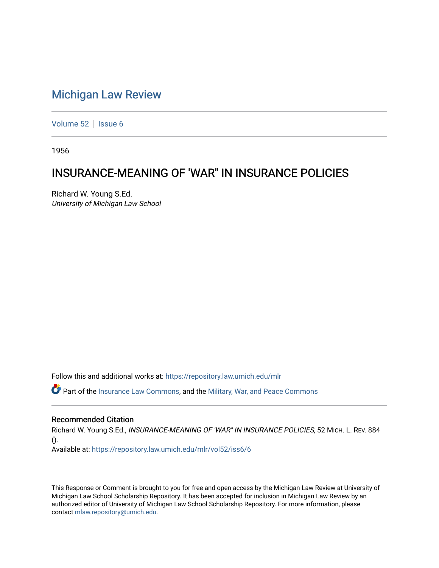# [Michigan Law Review](https://repository.law.umich.edu/mlr)

[Volume 52](https://repository.law.umich.edu/mlr/vol52) | [Issue 6](https://repository.law.umich.edu/mlr/vol52/iss6)

1956

# INSURANCE-MEANING OF 'WAR" IN INSURANCE POLICIES

Richard W. Young S.Ed. University of Michigan Law School

Follow this and additional works at: [https://repository.law.umich.edu/mlr](https://repository.law.umich.edu/mlr?utm_source=repository.law.umich.edu%2Fmlr%2Fvol52%2Fiss6%2F6&utm_medium=PDF&utm_campaign=PDFCoverPages) 

Part of the [Insurance Law Commons](http://network.bepress.com/hgg/discipline/607?utm_source=repository.law.umich.edu%2Fmlr%2Fvol52%2Fiss6%2F6&utm_medium=PDF&utm_campaign=PDFCoverPages), and the [Military, War, and Peace Commons](http://network.bepress.com/hgg/discipline/861?utm_source=repository.law.umich.edu%2Fmlr%2Fvol52%2Fiss6%2F6&utm_medium=PDF&utm_campaign=PDFCoverPages) 

### Recommended Citation

Richard W. Young S.Ed., INSURANCE-MEANING OF 'WAR" IN INSURANCE POLICIES, 52 MICH. L. REV. 884 ().

Available at: [https://repository.law.umich.edu/mlr/vol52/iss6/6](https://repository.law.umich.edu/mlr/vol52/iss6/6?utm_source=repository.law.umich.edu%2Fmlr%2Fvol52%2Fiss6%2F6&utm_medium=PDF&utm_campaign=PDFCoverPages)

This Response or Comment is brought to you for free and open access by the Michigan Law Review at University of Michigan Law School Scholarship Repository. It has been accepted for inclusion in Michigan Law Review by an authorized editor of University of Michigan Law School Scholarship Repository. For more information, please contact [mlaw.repository@umich.edu](mailto:mlaw.repository@umich.edu).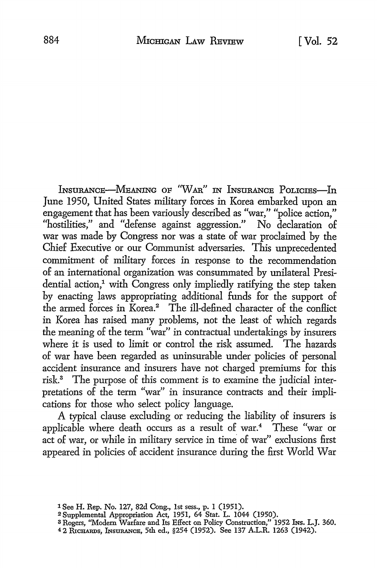INSURANCE-MEANING OF "WAR" IN INSURANCE POLICIES-In June 1950, United States military forces in Korea embarked upon an engagement that has been variously described as "war," "police action," "hostilities," and "defense against aggression." No declaration of war was made by Congress nor was a state of war proclaimed by the Chief Executive or our Communist adversaries. This unprecedented commitment of military forces in response to the recommendation of an international organization was consummated by unilateral Presidential action,<sup>1</sup> with Congress only impliedly ratifying the step taken by enacting laws appropriating additional funds for the support of the armed forces in Korea.<sup>2</sup> The ill-defined character of the conflict in Korea has raised many problems, not the least of which regards the meaning of the term "war" in contractual undertakings by insurers where it is used to limit or control the risk assumed. The hazards of war have been regarded as uninsurable under policies of personal accident insurance and insurers have not charged premiums for this risk.3 The purpose of this comment is to examine the judicial interpretations of the term "war" in insurance contracts and their implications for those who select policy language.

A typical clause excluding or reducing the liability of insurers is applicable where death occurs as a result of war.<sup>4</sup> These "war or act of war, or while in military service in time of war'' exclusions first appeared in policies of accident insurance during the first World War

<sup>1</sup> See H. Rep. No. 127, 82d Cong., 1st sess., p. 1 (1951).

<sup>2</sup>Supplemental Appropriation Act, 1951, 64 Stat, L. 1044 (1950).

<sup>&</sup>lt;sup>3</sup> Rogers, "Modern Warfare and Its Effect on Policy Construction," 1952 Ins. L.J. 360.

<sup>4 2</sup> RlcHAnns, lNsuRANcE, 5th ed., §254 (1952). See 137 A.L.R. 1263 (1942).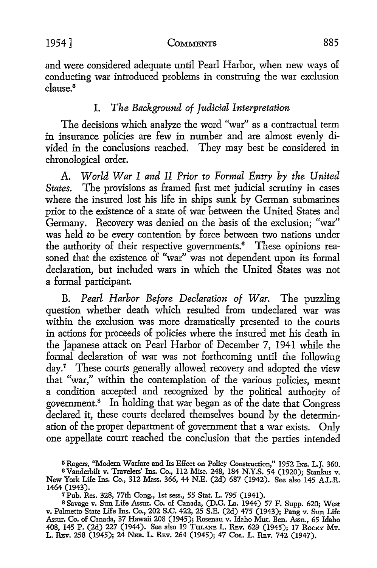1954] **CoMMENTS** 885

and were considered adequate until Pearl Harbor, when new ways of conducting war introduced problems in construing the war exclusion  $cl$ ause.<sup>5</sup>

## I. *The Background of Judicial Interpretation*

The decisions which analyze the word "war" as a contractual term in insurance policies are few in number and are almost evenly divided in the conclusions reached. They may best be considered in chronological order.

A. *World War I and II Prior to Formal Entry by the United States.* The provisions as framed first met judicial scrutiny in cases where the insured lost his life in ships sunk by German submarines prior to the existence of a state of war between the United States and Germany. Recovery was denied on the basis of the exclusion; "war" was held to be every contention by force between two nations under the authority of their respective governments.<sup>6</sup> These opinions reasoned that the existence of "war" was not dependent upon its formal declaration, but included wars in which the United States was not a formal participant.

B. *Pearl Harbor Before Declaration of War.* The puzzling question whether death which resulted from undeclared war was within the exclusion was more dramatically presented to the courts in actions for proceeds of policies where the insured met his death in the Japanese attack on Pearl Harbor of December 7, 1941 while the formal declaration of war was not forthcoming until the following day.<sup>7</sup> These courts generally allowed recovery and adopted the view that "war," within the contemplation of the various policies, meant a condition accepted and recognized by the political authority of government.<sup>8</sup> In holding that war began as of the date that Congress declared it, these courts declared themselves bound by the determination of the proper department of government that a war exists. Only one appellate court reached the conclusion that the parties intended

<sup>&</sup>lt;sup>5</sup> Rogers, "Modern Warfare and Its Effect on Policy Construction," 1952 Ins. L.J. 360.

<sup>6</sup>Vanderbilt v. Travelers' Ins. Co., 112 Misc. 248, 184 N.Y.S. 54 (1920); Stankus v. New York Life Ins. Co., 312 Mass. 366, 44 N.E. (2d) 687 (1942). See also 145 A.L.R. 1464 (1943).

<sup>7</sup>Pub. Res. 328, 77th Cong., 1st sess., 55 Stat. L. 795 (1941).

<sup>8</sup>Savage v. Sun Life Assur. Co. of Canada, (D.C. La. 1944) 57 F. Supp. 620; West v. Palmetto State Life Ins. Co., 202 S.C. 422, 25 S.E. (2d) 475 (1943); Pang v. Sun Life Assur. Co. of Canada, 37 Hawaii 208 (1945); Rosenau v. Idaho Mut. Ben. Assn., 65 Idaho 408, 145 P. (2d) 227 (1944). See also 19 TuLANE L. REv. 629 (1945); 17 RoCKY MT. L. REv. 258 (1945); 24 NEB. L. REV. 264 (1945); 47 Col. L. REV. 742 (1947).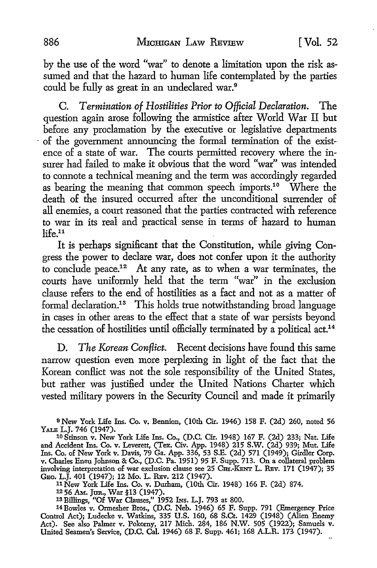by the use of the word "war" to denote a limitation upon the risk assumed and that the hazard to human life contemplated by the parties could be fully as great in an undeclared war.<sup>9</sup>

C. *Termination of Hostilities Prior to Official Declaration.* The question again arose following the armistice after World War II but before any proclamation by the executive or legislative departments · of the government announcing the formal termination of the existence of a state of war. The courts permitted recovery where the insurer had failed to make it obvious that the word "war" was intended to connote a technical meaning and the term was accordingly regarded as bearing the meaning that common speech imports.<sup>10</sup> Where the death of the insured occurred after the unconditional surrender of all enemies, a court reasoned that the parties contracted with reference to war in its real and practical sense in terms of hazard to human  $l$ ife $<sup>11</sup>$ </sup>

It is perhaps significant that the Constitution, while giving Congress the power to declare war, does not confer upon it the authority to conclude peace.12 At any rate, as to when a war terminates, the courts have uniformly held that the term "war" in the exclusion clause refers to the end of hostilities as a fact and not as a matter of formal declaration.<sup>13</sup> This holds true notwithstanding broad language in cases in other areas to the effect that a state of war persists beyond the cessation of hostilities until officially terminated by a political act.<sup>14</sup>

D. *The Korean Conflict.* Recent decisions have found this same narrow question even more perplexing in light of the fact that the Korean conflict was not the sole responsibility of the United States, but rather was justified under the United Nations Charter which vested military powers in the Security Council and made it primarily

<sup>9</sup>New York Life Ins. Co. v. Bennion, (10th Cir. 1946) 158 F. (2d) 260, noted 56 YALE L.J. 746 (1947). 10 Stinson v. New York Life Ins. Co., (D.C. Cir. 1948) 167 F. (2d) 233; Nat. Life

<sup>11</sup>New York Life Ins. **Co. v.** Durham, (10th Cir. 1948) 166 F. (2d) 874.

<sup>12</sup>56 AM. Jtm., War §13 (1947).

<sup>13</sup> Billings, "Of War Clauses," 1952 Ins. L.J. 793 at 800.<br><sup>14</sup> Bowles v. Ormesher Bros., (D.C. Neb. 1946) 65 F. Supp. 791 (Emergency Price Control Act); Ludecke v. Watkins, 335 **U.S.** 160, 68 S.Ct. 1429 (1948) (Alien Enemy Act). See also Palmer v. Pokorny, 217 Mich. 284, 186 N.W. 505 (1922); Samuels v. United Seamen's Service, (D.C. Cal. 1946) 68 F. Supp. 461; 168 A.L.R. 173 (1947).

and Accident Ins. Co. v. Leverett, (Tex. Civ. App. 1948) 215 S.W. (2d) 939; Mut. Life Ins. Co. of New York v. Davis, 79 Ga. App. 336, 53 S.E. (2d) 571 (1949); Girdler Corp. v. Charles Eneu Johnson & Co., (D.C. Pa. 1951) 95 F. Supp. 713. On a collateral problem involving interpretation of war exclusion clause see 25 Cm.-KENT L. REV. 171 (1947); 35 GEo. L.J. 401 (1947); 12 Mo. L. RBv. 212 (1947).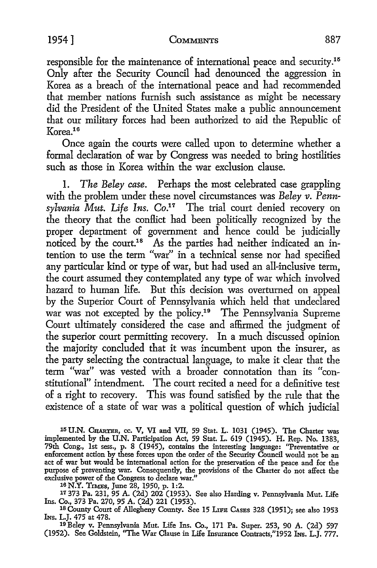responsible for the maintenance of international peace and security.1<sup>6</sup> Only after the Security Council had denounced the aggression in Korea as a breach of the international peace and had recommended that member nations furnish such assistance as might be necessary did the President of the United States make a public announcement that our military forces had been authorized *to* aid the Republic of Korea.<sup>16</sup>

Once again the courts were called upon *to* determine whether a formal declaration of war by Congress was needed *to* bring hostilities such as those in Korea within the war exclusion clause.

1. *The Beley case.* Perhaps the most celebrated case grappling with the problem under these novel circumstances was *Beley v. Penn*sylvania Mut. Life Ins. Co.<sup>17</sup> The trial court denied recovery on the theory that the conflict had been politically recognized by the proper department of government and hence could be judicially noticed by the court.<sup>18</sup> As the parties had neither indicated an intention *to* use the term "war" in a technical sense nor had specified any particular kind or type of war, but had used an all-inclusive term, the court assumed they contemplated any type of war which involved hazard *to* human life. But this decision was overturned on appeal by the Superior Court of Pennsylvania which held that undeclared war was not excepted by the policy.<sup>19</sup> The Pennsylvania Supreme Court ultimately considered the case and affirmed the judgment of the superior court permitting recovery. In a much discussed opinion the majority concluded that it was incumbent upon the insurer, as the party selecting the contractual language, *to* make it clear that the term "war" was vested with a broader connotation than its "constitutional" intendment. The court recited a need for a definitive *test*  of a right *to* recovery. This was found satisfied by the rule that the existence of a state of war was a political question of which judicial

15 U.N. CHARTER, cc. V, VI and VII, 59 Stat. L. 1031 (1945). The Charter was implemented by the U.N. Participation Act, 59 Stat. L. 619 (1945). H. Rep. No. 1383, 79th Cong., 1st sess., p. 8 (1945), contains the interesting language: "Preventative or enforcement action by these forces upon the order of the Security Council would not be an act of war but would be international action for the preservation of the peace and for the purpose of preventing war. Consequently, the provisions of the Charter do not affect the exclusive power of the Congress to declare war."

16N.Y. TrMEs, June 28, 1950, p. 1:2.

17 373 Pa. 231, 95 A. (2d) 202 (1953). See also Harding v. Pennsylvania Mut. Life Ins. Co., 373 Pa. 270, 95 A. (2d) 221 (1953).<br><sup>18</sup> County Court of Allegheny County. See 15 LIFE CASES 328 (1951); see also 1953

lNs. L.J. 475 at 478.

19 Beley v. Pennsylvania Mut. Life Ins. Co., 171 Pa. Super. 253, 90 A. (2d) 597 (1952). See Goldstein, "The War Clause in Life Insurance Contracts,"1952 Ins. L.J. 777.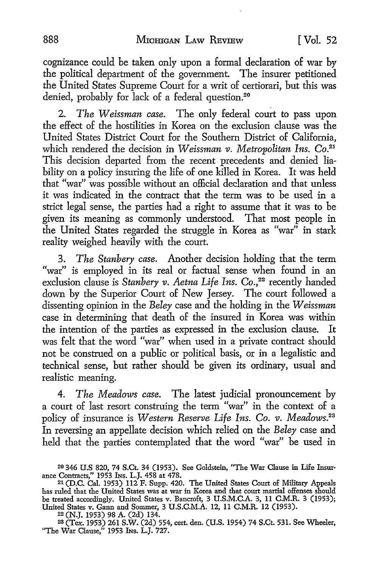cognizance could be taken only upon a formal declaration of war by the political department of the government. The insurer petitioned the United States Supreme Court for a writ of certiorari, but this was denied, probably for lack of a federal question.<sup>20</sup>

2. *The Weissman case*. The only federal court to pass upon the effect of the hostilities in Korea on the exclusion clause was the United States District Court for the Southern District of California, which rendered the decision in *Weissman v. Metropolitan Ins.* Co.<sup>21</sup> This decision departed from the recent precedents and denied liability on a policy insuring the life of one killed in Korea. It was held that "war" was possible without an official declaration and that unless it was indicated in the contract that the term was *to* be used in a strict legal sense, the parties had a right *to* assume that it was to be given its meaning as commonly understood. That most people in the United States regarded the struggle in Korea as "war" in stark reality weighed heavily with the court.

3. *The Stanbery case.* Another decision holding that the term "war" is employed in its real or factual sense when found in an exclusion clause is *Stanbery v. Aetna Life Ins. Co.,22* recently handed down by the Superior Court of New Jersey. The court followed a dissenting opinion in the *Beley* case and the holding in the *Weissman*  case in determining that death of the insured in Korea was within the intention of the parties as expressed in the exclusion clause. It was felt that the word "war" when used in a private contract should not be construed on a public or political basis, or in a legalistic and technical sense, but rather should be given its ordinary, usual and realistic meaning.

4. *The Meadows case.* The latest judicial pronouncement by a court of last resort construing the term "war" in the context of a policy of insurance is *Western Reserve Life Ins. Co. v. Meadows.*<sup>23</sup> In reversing an appellate decision which relied on the *Beley* case and held that the parties contemplated that the word "war" be used in

<sup>23</sup>(Tex. 1953) 261 S.W. (2d) 554, cert. den. (U.S. 1954) 74 S.Ct. 531. See Wheeler, "The War Clause," 1953 Ins. L.J. 727.

<sup>20 346</sup> U.S 820, 74 S.Ct. 34 (1953). See Goldstein, "The War Clause in Life Insurance Contracts," 1953 INS. L.J. 458 at 478.<br><sup>21</sup> (D.C. Cal. 1953) 112 F. Supp. 420. The United States Court of Military Appeals

has ruled that the United States was at war in Korea and that court martial offenses should be treated accordingly. United States v. Bancroft, 3 U.S.M.C.A. 3, 11 C.M.R. 3 (1953); United States v. Gann and Sommer, 3 U.S.C.M.A. 12, 11 C.M.R. 12 (1953).

<sup>22 (</sup>N.J. 1953) 98 A. (2d) 134.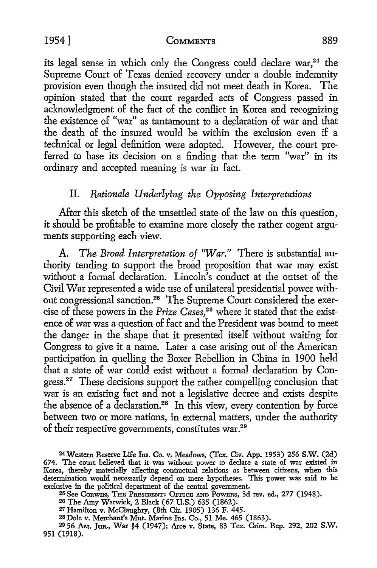its legal sense in which only the Congress could declare war,<sup>24</sup> the Supreme Court of Texas denied recovery under a double indemnity provision even though the insured did not meet death in Korea. The opinion stated that the court regarded acts of Congress passed in acknowledgment of the fact of the conflict in Korea and recognizing the existence of "war" as tantamount to a declaration of war and that the death of the insured would be within the exclusion even if a technical or legal definition were adopted. However, the court preferred to base its decision on a finding that the term "war" in its ordinary and accepted meaning is war in fact.

## II. *Rationale Underlying the Opposing Interpretations*

After this sketch of the unsettled state of the law on this question, it should be profitable to examine more closely the rather cogent arguments supporting each view.

A. *The Broad Interpretation of 'War."* There is substantial authority tending to support the broad proposition that war may exist without a formal declaration. Lincoln's conduct at the outset of the Civil War represented a wide use of unilateral presidential power without congressional sanction.25 The Supreme Court considered the exercise of these powers in the *Prize Cases,* 26 where it stated that the existence of war was a question of fact and the President was bound to meet the danger in the shape that it presented itself without waiting for Congress to give it a name. Later a case arising out of the American participation in quelling the Boxer Rebellion in China in 1900 held that a state of war could exist without a formal declaration by Congress.<sup>27</sup> These decisions support the rather compelling conclusion that war is an existing fact and not a legislative decree and exists despite the absence of a declaration.<sup>28</sup> In this view, every contention by force between two or more nations, in external matters, under the authority of their respective governments, constitutes war.29

<sup>24</sup>Western Reserve Life Ins. Co. v. Meadows, (Tex. Civ. App. 1953) 256 **S.W.** (2d) 674. The court believed that it was without power to declare a state of war existed in Korea, thereby materially affecting contractual relations as between citizens, when this determination would necessarily depend on mere hypotheses. This power was said to be

<sup>&</sup>lt;sup>25</sup> See Corwin, The President: Office and Powers, 3d rev. ed., 277 (1948).

<sup>26</sup> The Amy Warwick, 2 Black (67 U.S.) 635 (1862).

<sup>27</sup> Hamilton v. McCiaughry, (8th Cir. 1905) 136 F. 445.

<sup>28</sup> Dole v. Merchant's Mut. Marine Ins. Co., 51 Me. 465 (1863).

<sup>29 56</sup> AM.. JUR., War §4 (1947); Arce v. State, 83 Tex. Crim. Rep. 292, 202 **S.W.**  951 (1918).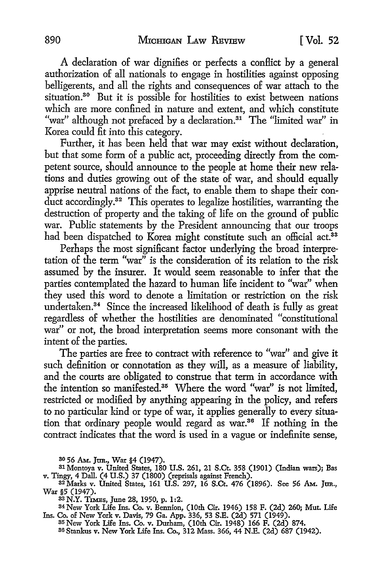A declaration of war dignifies or perfects a conflict by a general authorization of all nationals to engage in hostilities against opposing belligerents, and all the rights and consequences of war attach to the situation.<sup>30</sup> But it is possible for hostilities to exist between nations which are more confined in nature and extent, and which constitute "war" although not prefaced by a declaration.<sup>31</sup> The "limited war" in Korea could fit into this category.

Further, it has been held that war may exist without declaration, but that some form of a public act, proceeding directly from the competent source, should announce to the people at home their new relations and duties growing out of the state of war, and should equally apprise neutral nations of the fact, to enable them to shape their conduct accordingly.<sup>32</sup> This operates to legalize hostilities, warranting the destruction of property and the taking of life on the ground of public war. Public statements by the President announcing that our troops had been dispatched to Korea might constitute such an official act.<sup>33</sup>

Perhaps the most significant factor underlying the broad interpretation of the term "war" is the consideration of its relation to the risk assumed by the insurer. It would seem reasonable to infer that the parties contemplated the hazard to human life incident to "war" when they used this word to denote a limitation or restriction on the risk undertaken.34 Since the increased likelihood of death is fully as great regardless of whether the hostilities are denominated "constitutional war" or not, the broad interpretation seems more consonant with the intent of the parties.

The parties are free to contract with reference to "war" and give it such definition or connotation as they will, as a measure of liability, and the courts are obligated to construe that term in accordance with the intention so manifested.<sup>35</sup> Where the word "war" is not limited, restricted or modified by anything appearing in the policy, and refers to no particular kind or type of war, it applies generally to every situation that ordinary people would regard as war.36 If nothing in the contract indicates that the word is used in a vague or indefinite sense,

SSN.Y. T1MEs, June 28, 1950, p. 1:2.

84 New York Life Ins. Co. v. Bennion, (10th Cir. 1946) 158 F. (2d) 260; Mut. Life Ins. Co. of New York v. Davis, 79 Ga. App. 336, 53 S.E. (2d) 571 (1949).

s5 New York Life Ins. Co. v. Durham, (10th Cir. 1948) 166 F. (2d) 874.

86 Stankus v. New York Life Ins. Co., 312 Mass. 366, 44 N.E. (2d) 687 (1942).

so 56 AM. Jun., War §4 (1947).

<sup>31</sup> Montoya v. United States, 180 U.S. 261, 21 S.Ct. 358 (1901) (Indian wars); Bas v. Tingy, 4 Dall. (4 U.S.) 37 (1800) (reprisals against French).

s<sup>2</sup>Marks v. United States, 161 U.S. 297, 16 S.Ct. 476 (1896). See 56 AM. Jan., War §5 (1947).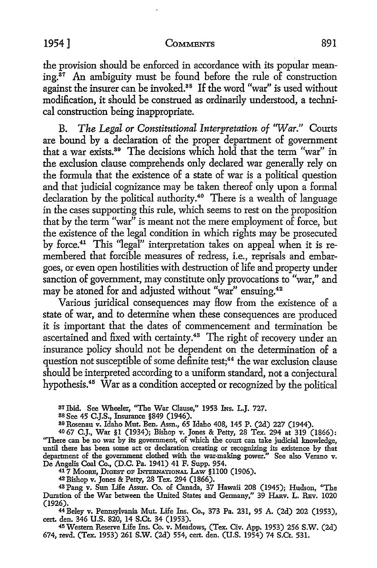the provision should be enforced in accordance with its popular mean $ing.^{37}$  An ambiguity must be found before the rule of construction against the insurer can be invoked.38 If the word "war" is used without modification, it should be construed as ordinarily understood, a technical construction being inappropriate.

B. *The Legal or Constitutional Interpretation of 'War."* Courts are bound by a declaration of the proper department of government that a war exists.39 The decisions which hold that the term "war" in the exclusion clause comprehends only declared war generally rely on the formula that the existence of a state of war is a political question and that judicial cognizance may be taken thereof only upon a formal declaration by the political authority.40 There is a wealth of language in the cases supporting this rule, which seems to rest on the proposition that by the term "war" is meant not the mere employment of force, but the existence of the legal condition in which rights may be prosecuted by force.<sup>41</sup> This "legal" interpretation takes on appeal when it is remembered that forcible measures of redress, i.e., reprisals and embargoes, or even open hostilities with destruction of life and property under sanction of government, may constitute only provocations to "war," and may be atoned for and adjusted without "war" ensuing.<sup>42</sup>

Various juridical consequences may How from the existence of a state of war, and to determine when these consequences are produced it is important that the dates of commencement and termination be ascertained and fixed with certainty.<sup>43</sup> The right of recovery under an insurance policy should not be dependent on the determination of a question not susceptible of some definite test;<sup>44</sup> the war exclusion clause should be interpreted according to a uniform standard, not a conjectural hypothesis.45 War as a condition accepted or recognized by the political

37 Ibid. See Wheeler, "The War Clause," 1953 Ins. L.J. 727.

ss See 45 C.J.S., Insurance §849 (1946).

89 Rosenau v. Idaho Mut. Ben. Assn., 65 Idaho 408, 145 P. (2d) 227 (1944).

40 67 C.J., War §1 (1934); Bishop v. Jones & Petty, 28 Tex. 294 at 319 (1866): ''There can be no war by its government, of which the court can take judicial knowledge, until there has been some act or declaration creating or recognizing its existence by that department of the government clothed with the war-making power." See also Verano v. De Angelis Coal Co., (D.C. Pa. 1941) 41 F. Supp. 954.

417 MooRE, DrcEST OP lNrERNATIONAL LAw §1100 (1906).

42Bishop v. Jones & Petty, 28 Tex. 294 (1866).

48 Pang v. Sun Life Assur. Co. of Canada, 37 Hawaii 208 (1945); Hudson, ''The Duration of the War between the United States and Germany," 39 HARV. L. REV. 1020 (1926).

<sup>44</sup>Beley v. Pennsylvania Mut. Life Ins. Co., 373 Pa. 231, 95 A. (2d) 202 (1953), cert. den. 346 U.S. 820, 14 S.Ct. 34 (1953).

45 Western Reserve Life Ins. Co. v. Meadows, (Tex. Civ. App. 1953) 256 S.W. (2d) 674, revd. (Tex. 1953) 261 S.W. (2d) 554, cert. den. (U.S. 1954) 74 S.Ct. 531.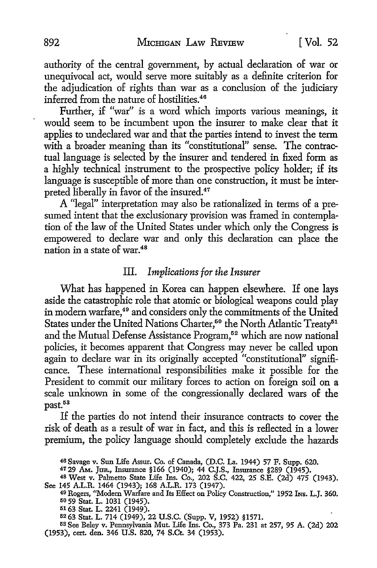authority of the central government, by actual declaration of war or unequivocal act, would serve more suitably as a definite criterion for the adjudication of rights than war as a conclusion of the judiciary inferred from the nature of hostilities.<sup>46</sup>

Further, if "war" is a word which imports various meanings, it would seem to be incumbent upon the insurer to make clear that it applies to undeclared war and that the parties intend to invest the term with a broader meaning than its "constitutional" sense. The contractual language is selected by the insurer and tendered in fixed form as a highly technical instrument to the prospective policy holder; if its language is susceptible of more than one construction, it must be interpreted liberally in favor of the insured.<sup>47</sup>

A "legal" interpretation may also be rationalized in terms of a presumed intent that the exclusionary provision was framed in contemplation of the law of the United States under which only the Congress is empowered to declare war and only this declaration can place the nation in a state of war.<sup>48</sup>

### III. *Implications for the Insurer*

What has happened in Korea can happen elsewhere. If one lays aside the catastrophic role that atomic or biological weapons could play in modern warfare,<sup>49</sup> and considers only the commitments of the United States under the United Nations Charter,<sup>50</sup> the North Atlantic Treaty<sup>51</sup> and the Mutual Defense Assistance Program,<sup>52</sup> which are now national policies, it becomes apparent that Congress may never be called upon again to declare war in its originally accepted "constitutional" significance. These international responsibilities make it possible for the President *to* commit our military forces to action on foreign soil on a scale unknown in some of the congressionally declared wars of the past.<sup>53</sup>

If the parties do not intend their insurance contracts *to* cover the risk of death as a result of war in fact, and this is reflected in a lower premium, the policy language should completely exclude the hazards

53 See Beley v. Pennsylvania Mut. Life Ins. Co., 373 Pa. 231 at 257, 95 A. (2d) 202 (1953), cert. den. 346 U.S. 820, 74 S.Ct. 34 (1953).

<sup>46</sup> Savage v. Sun Life Assur. Co. of Canada, (D.C. La. 1944) 57 F. Supp. 620.

<sup>4729</sup> AM.. JUR., Insurance §166 (1940); 44 C.J.S., Insurance §289 (1945).

<sup>48</sup>West v. Palmetto State Life Ins. Co., 202 S.C. 422, 25 S.E. (2d) 475 (1943). See 145 A.L.R. 1464 (1943); 168 A.L.R. 173 (1947).

<sup>49</sup> Rogers, "Modern Warfare and Its Effect on Policy Construction," 1952 Ins. L.J. 360. 50 59 Stat. L. 1031 (1945).

<sup>5163</sup> Stat. L. 2241 (1949).

<sup>52 63</sup> Stat. L. 714 (1949), 22 U.S.C. (Supp. V, 1952) §1571.